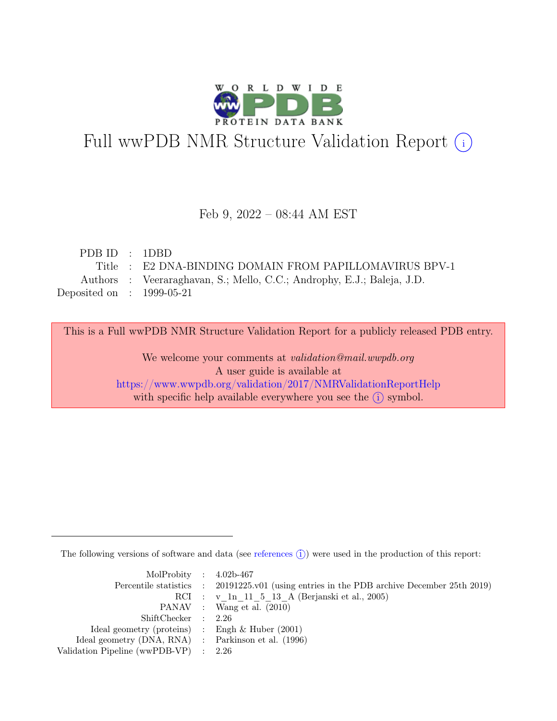

# Full wwPDB NMR Structure Validation Report (i)

#### Feb 9, 2022 – 08:44 AM EST

| PDBID : 1DBD                |                                                                        |
|-----------------------------|------------------------------------------------------------------------|
|                             | Title : E2 DNA-BINDING DOMAIN FROM PAPILLOMAVIRUS BPV-1                |
|                             | Authors : Veeraraghavan, S.; Mello, C.C.; Androphy, E.J.; Baleja, J.D. |
| Deposited on : $1999-05-21$ |                                                                        |

This is a Full wwPDB NMR Structure Validation Report for a publicly released PDB entry.

We welcome your comments at *validation@mail.wwpdb.org* A user guide is available at <https://www.wwpdb.org/validation/2017/NMRValidationReportHelp> with specific help available everywhere you see the  $(i)$  symbol.

The following versions of software and data (see [references](https://www.wwpdb.org/validation/2017/NMRValidationReportHelp#references)  $\hat{I}$ ) were used in the production of this report:

| MolProbity : $4.02b-467$                            |                                                                                            |
|-----------------------------------------------------|--------------------------------------------------------------------------------------------|
|                                                     | Percentile statistics : 20191225.v01 (using entries in the PDB archive December 25th 2019) |
|                                                     | RCI : v 1n 11 5 13 A (Berjanski et al., 2005)                                              |
|                                                     | PANAV : Wang et al. (2010)                                                                 |
| ShiftChecker : 2.26                                 |                                                                                            |
| Ideal geometry (proteins) : Engh $\&$ Huber (2001)  |                                                                                            |
| Ideal geometry (DNA, RNA) : Parkinson et al. (1996) |                                                                                            |
| Validation Pipeline (wwPDB-VP) $\therefore$ 2.26    |                                                                                            |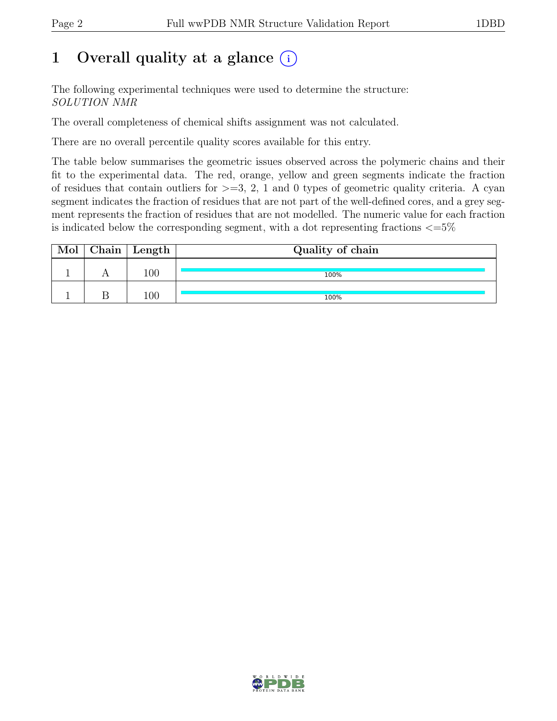## 1 Overall quality at a glance  $(i)$

The following experimental techniques were used to determine the structure: SOLUTION NMR

The overall completeness of chemical shifts assignment was not calculated.

There are no overall percentile quality scores available for this entry.

The table below summarises the geometric issues observed across the polymeric chains and their fit to the experimental data. The red, orange, yellow and green segments indicate the fraction of residues that contain outliers for  $\geq$ =3, 2, 1 and 0 types of geometric quality criteria. A cyan segment indicates the fraction of residues that are not part of the well-defined cores, and a grey segment represents the fraction of residues that are not modelled. The numeric value for each fraction is indicated below the corresponding segment, with a dot representing fractions  $\epsilon = 5\%$ 

| Mol | $\mid$ Chain $\mid$ Length $\mid$ | Quality of chain |
|-----|-----------------------------------|------------------|
|     | $100\,$                           | 100%             |
|     | $100\,$                           | 100%             |

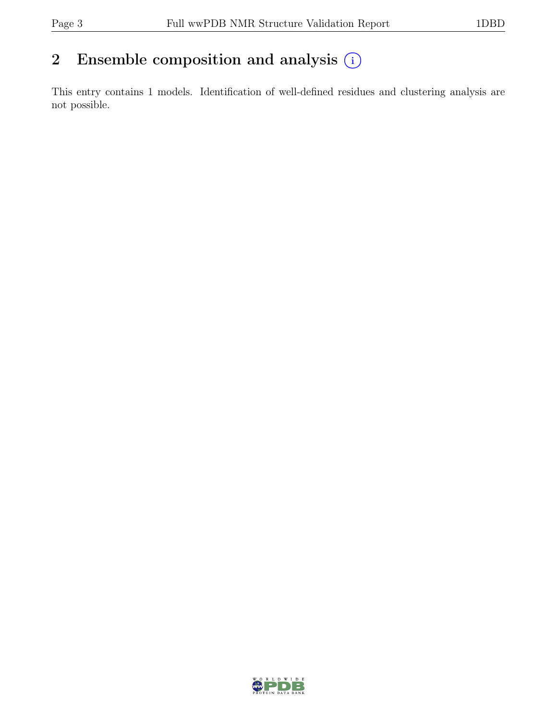## 2 Ensemble composition and analysis  $(i)$

This entry contains 1 models. Identification of well-defined residues and clustering analysis are not possible.

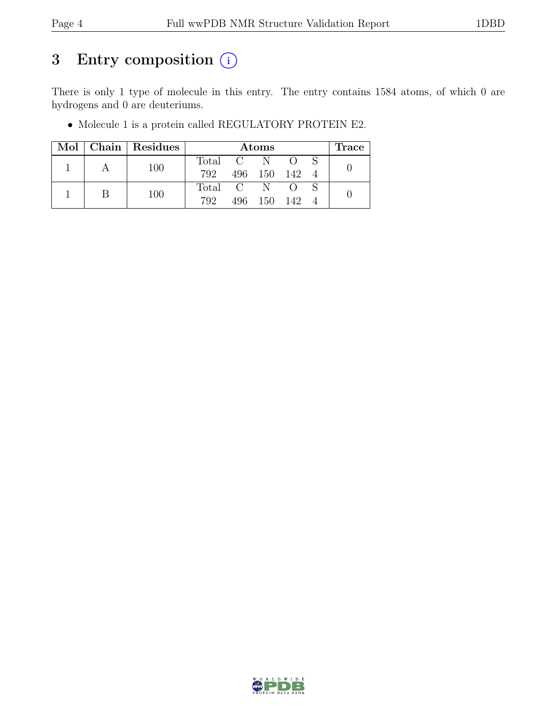## 3 Entry composition  $(i)$

There is only 1 type of molecule in this entry. The entry contains 1584 atoms, of which 0 are hydrogens and 0 are deuteriums.

|  |  | Mol   Chain   Residues | Atoms       |             |         |                  | lrace |  |
|--|--|------------------------|-------------|-------------|---------|------------------|-------|--|
|  |  | 100                    | Total C N O |             |         |                  |       |  |
|  |  | 792                    |             | 496 150 142 |         |                  |       |  |
|  |  |                        | Total C N   |             |         | $\left( \right)$ |       |  |
|  |  | 100                    | 792         |             | 496 150 | - 142            |       |  |

• Molecule 1 is a protein called REGULATORY PROTEIN E2.

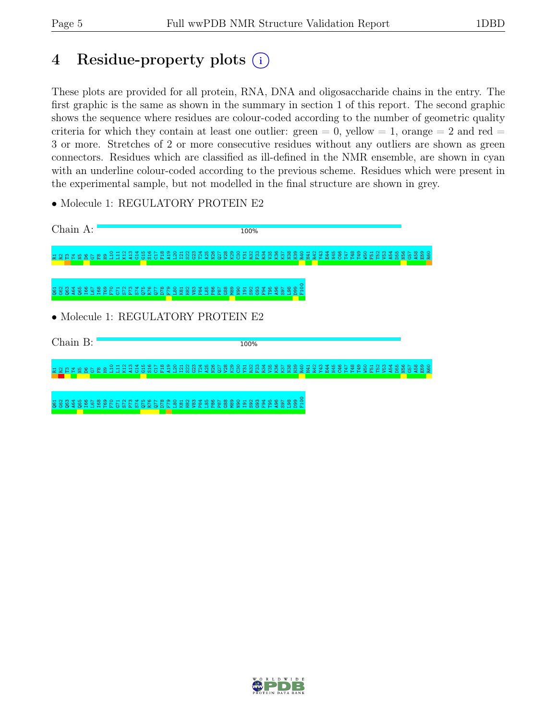## 4 Residue-property plots (i)

These plots are provided for all protein, RNA, DNA and oligosaccharide chains in the entry. The first graphic is the same as shown in the summary in section 1 of this report. The second graphic shows the sequence where residues are colour-coded according to the number of geometric quality criteria for which they contain at least one outlier: green  $= 0$ , yellow  $= 1$ , orange  $= 2$  and red  $=$ 3 or more. Stretches of 2 or more consecutive residues without any outliers are shown as green connectors. Residues which are classified as ill-defined in the NMR ensemble, are shown in cyan with an underline colour-coded according to the previous scheme. Residues which were present in the experimental sample, but not modelled in the final structure are shown in grey.

• Molecule 1: REGULATORY PROTEIN E2

| Chain A:                                                                                                                    | 100%                                                                                                                                                                                                                                                                                                                             |                                                         |
|-----------------------------------------------------------------------------------------------------------------------------|----------------------------------------------------------------------------------------------------------------------------------------------------------------------------------------------------------------------------------------------------------------------------------------------------------------------------------|---------------------------------------------------------|
| G15<br>$\infty$<br>ူ<br>불<br>O                                                                                              | HANGPAKONEERA SARAHA HA<br>군 운 운<br><b>DE</b><br>F18<br>္ဂို<br>N45<br>C46<br>E <sub>2</sub><br>Y43<br>E44<br><sub>D55</sub><br>ਨ<br>S <sub>22</sub><br>ನಿ<br>- SS<br>A <sub>54</sub><br>퓽                                                                                                                                       | E59<br>R60<br>N <sub>56</sub><br>မ္ဘ<br>ĩŏ.             |
| $rac{24}{975}$<br><b>021951</b><br>2051<br>2051<br>$\overline{\text{R}}$<br>62<br><b>SS 38</b><br>F <sub>2</sub><br>Е<br>R. | F10<br>89<br><b>REBEREE ERE</b><br>88<br>N82<br>N90<br>T <sub>95</sub><br>8<br>F@I<br>္တ<br>G <sub>93</sub><br>ऊ<br><b>S97</b><br>ΓT<br>۵<br>$\omega$<br>Æ.                                                                                                                                                                      |                                                         |
|                                                                                                                             | • Molecule 1: REGULATORY PROTEIN E2                                                                                                                                                                                                                                                                                              |                                                         |
| Chain B:                                                                                                                    | 100%                                                                                                                                                                                                                                                                                                                             |                                                         |
| Ξ<br><b>2398522</b><br>운<br>နိ<br>岊<br>쁲<br>둉                                                                               | <b>DRESIS</b><br><b>ESPIRES</b><br><b>V28</b><br>K28<br>N45<br>C46<br>N26<br>Q27<br><b>Y31</b><br>R32<br>æ<br>H41<br>R42<br>Y43<br>E44<br><b>E48</b><br><b>EP1</b><br><b>DSN</b><br><b>D55</b><br>$\overline{5}$<br>្អ ដូ ខ្លួ<br>R <sub>34</sub><br>E<br>y <sub>53</sub><br>A <sub>54</sub><br>P <sub>24</sub><br>A25<br>E<br>惡 | E59<br>R60<br>8<br>N <sub>56</sub><br>G57<br>$\epsilon$ |
|                                                                                                                             | 요<br>E1<br>888889858888898                                                                                                                                                                                                                                                                                                       |                                                         |

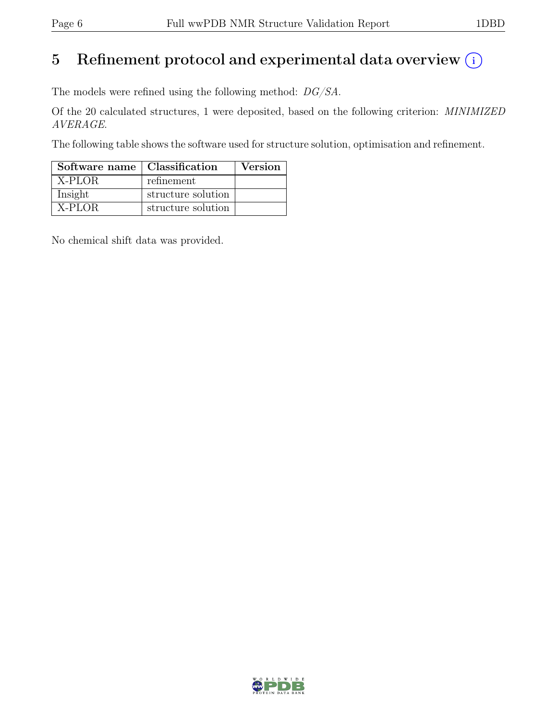## 5 Refinement protocol and experimental data overview  $(i)$

The models were refined using the following method: DG/SA.

Of the 20 calculated structures, 1 were deposited, based on the following criterion: MINIMIZED AVERAGE.

The following table shows the software used for structure solution, optimisation and refinement.

| Software name   Classification |                    | <b>Version</b> |
|--------------------------------|--------------------|----------------|
| X-PLOR                         | refinement         |                |
| Insight                        | structure solution |                |
| X-PLOR                         | structure solution |                |

No chemical shift data was provided.

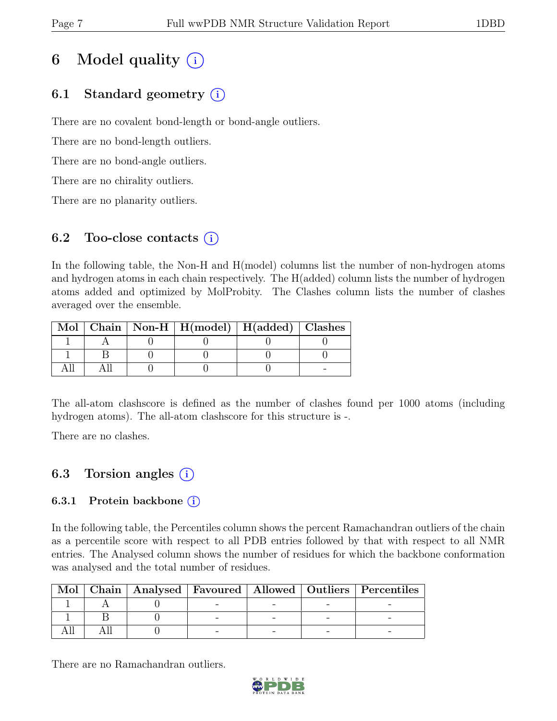## 6 Model quality  $(i)$

## 6.1 Standard geometry (i)

There are no covalent bond-length or bond-angle outliers.

There are no bond-length outliers.

There are no bond-angle outliers.

There are no chirality outliers.

There are no planarity outliers.

### 6.2 Too-close contacts  $(i)$

In the following table, the Non-H and H(model) columns list the number of non-hydrogen atoms and hydrogen atoms in each chain respectively. The H(added) column lists the number of hydrogen atoms added and optimized by MolProbity. The Clashes column lists the number of clashes averaged over the ensemble.

|  | Mol   Chain   Non-H   $H (model)$   $H (added)$   Clashes |  |
|--|-----------------------------------------------------------|--|
|  |                                                           |  |
|  |                                                           |  |
|  |                                                           |  |

The all-atom clashscore is defined as the number of clashes found per 1000 atoms (including hydrogen atoms). The all-atom clashscore for this structure is -.

There are no clashes.

## 6.3 Torsion angles (i)

### 6.3.1 Protein backbone  $(i)$

In the following table, the Percentiles column shows the percent Ramachandran outliers of the chain as a percentile score with respect to all PDB entries followed by that with respect to all NMR entries. The Analysed column shows the number of residues for which the backbone conformation was analysed and the total number of residues.

|  |  |  | Mol   Chain   Analysed   Favoured   Allowed   Outliers   Percentiles |
|--|--|--|----------------------------------------------------------------------|
|  |  |  |                                                                      |
|  |  |  |                                                                      |
|  |  |  |                                                                      |

There are no Ramachandran outliers.

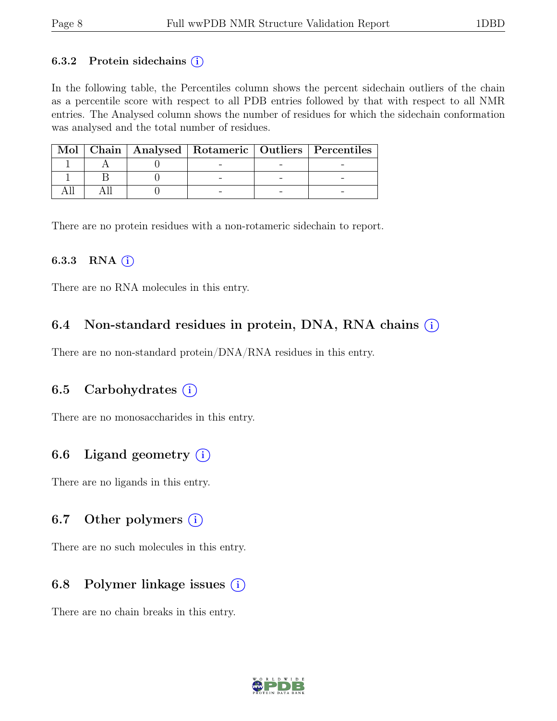#### 6.3.2 Protein sidechains  $(i)$

In the following table, the Percentiles column shows the percent sidechain outliers of the chain as a percentile score with respect to all PDB entries followed by that with respect to all NMR entries. The Analysed column shows the number of residues for which the sidechain conformation was analysed and the total number of residues.

|  |  | Mol   Chain   Analysed   Rotameric   Outliers   Percentiles |
|--|--|-------------------------------------------------------------|
|  |  |                                                             |
|  |  |                                                             |
|  |  |                                                             |

There are no protein residues with a non-rotameric sidechain to report.

#### 6.3.3 RNA  $(i)$

There are no RNA molecules in this entry.

### 6.4 Non-standard residues in protein, DNA, RNA chains  $(i)$

There are no non-standard protein/DNA/RNA residues in this entry.

### 6.5 Carbohydrates  $(i)$

There are no monosaccharides in this entry.

### 6.6 Ligand geometry  $(i)$

There are no ligands in this entry.

### 6.7 Other polymers  $(i)$

There are no such molecules in this entry.

### 6.8 Polymer linkage issues  $(i)$

There are no chain breaks in this entry.